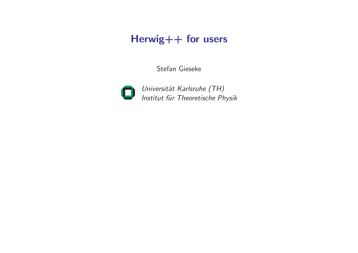# Herwig++ for users

Stefan Gieseke



Universität Karlsruhe (TH) Institut für Theoretische Physik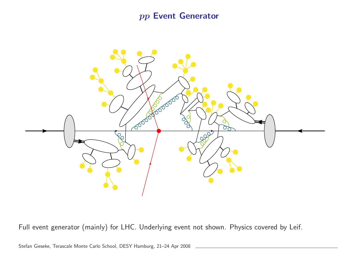pp Event Generator



Full event generator (mainly) for LHC. Underlying event not shown. Physics covered by Leif.

Stefan Gieseke, Terascale Monte Carlo School, DESY Hamburg, 21–24 Apr 2008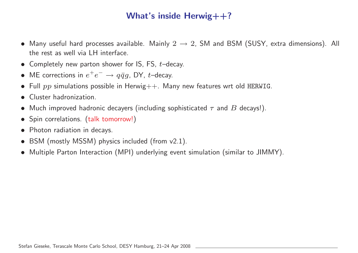### What's inside Herwig++?

- Many useful hard processes available. Mainly  $2 \rightarrow 2$ , SM and BSM (SUSY, extra dimensions). All the rest as well via LH interface.
- Completely new parton shower for IS, FS,  $t$ -decay.
- ME corrections in  $e^+e^- \rightarrow q\bar{q}g$ , DY, t–decay.
- Full  $pp$  simulations possible in Herwig $++$ . Many new features wrt old HERWIG.
- Cluster hadronization.
- Much improved hadronic decayers (including sophisticated  $\tau$  and  $B$  decays!).
- Spin correlations. (talk tomorrow!)
- Photon radiation in decays.
- BSM (mostly MSSM) physics included (from v2.1).
- Multiple Parton Interaction (MPI) underlying event simulation (similar to JIMMY).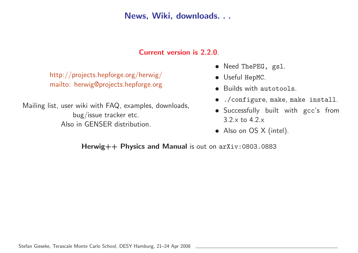News, Wiki, downloads. . .

#### Current version is 2.2.0.

http://projects.hepforge.org/herwig/ mailto: herwig@projects.hepforge.org

Mailing list, user wiki with FAQ, examples, downloads, bug/issue tracker etc. Also in GENSER distribution.

- Need ThePEG, gsl.
- Useful HepMC.
- Builds with autotools.
- ./configure, make, make install.
- Successfully built with gcc's from 3.2.x to 4.2.x
- Also on OS X (intel).

Herwig++ Physics and Manual is out on arXiv:0803.0883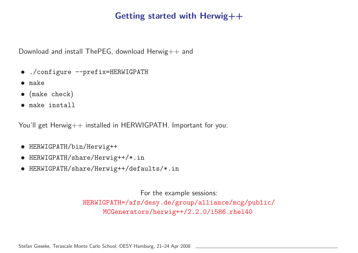### Getting started with Herwig++

Download and install ThePEG, download Herwig++ and

- ./configure --prefix=HERWIGPATH
- make
- (make check)
- make install

You'll get Herwig++ installed in HERWIGPATH. Important for you:

- HERWIGPATH/bin/Herwig++
- HERWIGPATH/share/Herwig++/\*.in
- HERWIGPATH/share/Herwig++/defaults/\*.in

For the example sessions: HERWIGPATH=/afs/desy.de/group/alliance/mcg/public/ MCGenerators/herwig++/2.2.0/i586\_rhel40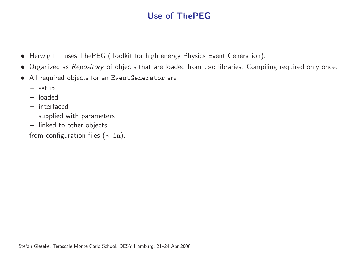# Use of ThePEG

- Herwig++ uses ThePEG (Toolkit for high energy Physics Event Generation).
- Organized as Repository of objects that are loaded from .so libraries. Compiling required only once.
- All required objects for an EventGenerator are
	- setup
	- loaded
	- interfaced
	- supplied with parameters
	- linked to other objects

from configuration files (\*.in).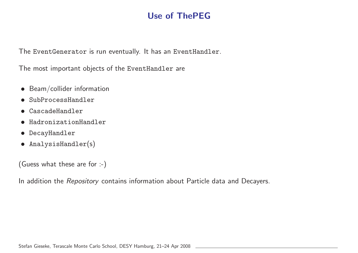### Use of ThePEG

The EventGenerator is run eventually. It has an EventHandler.

The most important objects of the EventHandler are

- Beam/collider information
- SubProcessHandler
- CascadeHandler
- HadronizationHandler
- DecayHandler
- AnalysisHandler(s)

(Guess what these are for :-)

In addition the Repository contains information about Particle data and Decayers.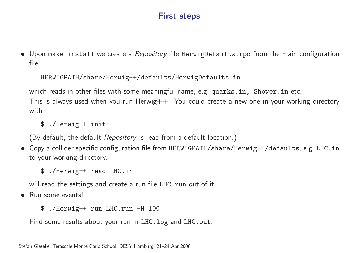### First steps

• Upon make install we create a Repository file HerwigDefaults.rpo from the main configuration file

#### HERWIGPATH/share/Herwig++/defaults/HerwigDefaults.in

which reads in other files with some meaningful name, e.g. quarks.in, Shower.in etc.

This is always used when you run Herwig $++$ . You could create a new one in your working directory with

\$ ./Herwig++ init

(By default, the default Repository is read from <sup>a</sup> default location.)

- Copy <sup>a</sup> collider specific configuration file from HERWIGPATH/share/Herwig++/defaults, e.g. LHC.in to your working directory.
	- \$ ./Herwig++ read LHC.in

will read the settings and create a run file LHC. run out of it.

- Run some events!
	- \$ ./Herwig++ run LHC.run -N <sup>100</sup>

Find some results about your run in LHC. log and LHC. out.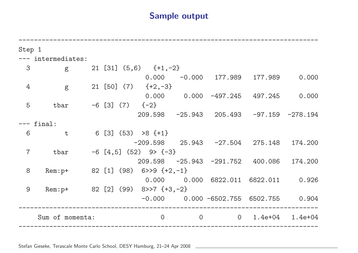### Sample output

| Step 1          |                                    |  |  |                |                                                     |                |                                              |             |         |
|-----------------|------------------------------------|--|--|----------------|-----------------------------------------------------|----------------|----------------------------------------------|-------------|---------|
|                 | --- intermediates:                 |  |  |                |                                                     |                |                                              |             |         |
| 3               | $g_{\parallel}$                    |  |  |                | 21 [31] $(5,6)$ $\{+1,-2\}$                         |                |                                              |             |         |
|                 |                                    |  |  |                | 0.000                                               |                | $-0.000$ 177.989                             | 177.989     | 0.000   |
| 4               | $\mathbf{g}$                       |  |  |                | $21 [50] (7) \{+2,-3\}$                             |                |                                              |             |         |
|                 |                                    |  |  |                |                                                     |                | $0.000$ 0.000 -497.245 497.245               |             | 0.000   |
| 5               | tbar                               |  |  |                | $-6$ [3] (7) $\{-2\}$                               |                |                                              |             |         |
|                 |                                    |  |  |                |                                                     |                | $209.598 -25.943$ $205.493 -97.159 -278.194$ |             |         |
| final:          |                                    |  |  |                |                                                     |                |                                              |             |         |
| 6               | $\mathbf t$                        |  |  |                | $6\begin{bmatrix} 3 \end{bmatrix}$ (53) >8 $\{+1\}$ |                |                                              |             |         |
|                 |                                    |  |  |                |                                                     |                | $-209.598$ 25.943 $-27.504$ 275.148          |             | 174.200 |
| $\overline{7}$  | $-6$ [4,5] (52) 9> {-3}<br>tbar    |  |  |                |                                                     |                |                                              |             |         |
|                 |                                    |  |  |                |                                                     |                | 209.598 -25.943 -291.752 400.086 174.200     |             |         |
| 8               | Rem: $p+$ 82 [1] (98) 6>>9 {+2,-1} |  |  |                |                                                     |                |                                              |             |         |
|                 |                                    |  |  |                |                                                     |                | $0.000$ 0.000 6822.011 6822.011 0.926        |             |         |
| 9               | $Rem: p+$                          |  |  |                | $82$ [2] (99) $8>>7$ {+3,-2}                        |                |                                              |             |         |
|                 |                                    |  |  |                |                                                     |                | $-0.000$ 0.000 $-6502.755$ 6502.755 0.904    |             |         |
| Sum of momenta: |                                    |  |  | $\overline{0}$ | $\overline{0}$                                      | $\overline{O}$ | 1.4e+04                                      | $1.4e + 04$ |         |

Stefan Gieseke, Terascale Monte Carlo School, DESY Hamburg, 21–24 Apr 2008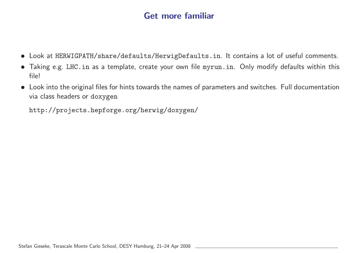### Get more familiar

- Look at HERWIGPATH/share/defaults/HerwigDefaults.in. It contains <sup>a</sup> lot of useful comments.
- Taking e.g. LHC.in as <sup>a</sup> template, create your own file myrun.in. Only modify defaults within this file!
- Look into the original files for hints towards the names of parameters and switches. Full documentation via class headers or doxygen

http://projects.hepforge.org/herwig/doxygen/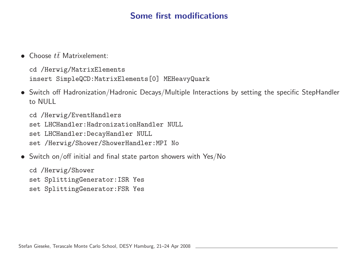### Some first modifications

• Choose  $t\bar{t}$  Matrixelement:

cd /Herwig/MatrixElements insert SimpleQCD:MatrixElements[0] MEHeavyQuark

• Switch off Hadronization/Hadronic Decays/Multiple Interactions by setting the specific StepHandler to NULL

cd /Herwig/EventHandlers set LHCHandler:HadronizationHandler NULL set LHCHandler:DecayHandler NULL set /Herwig/Shower/ShowerHandler:MPI No

• Switch on/off initial and final state parton showers with Yes/No

cd /Herwig/Shower set SplittingGenerator:ISR Yes set SplittingGenerator:FSR Yes

Stefan Gieseke, Terascale Monte Carlo School, DESY Hamburg, 21–24 Apr 2008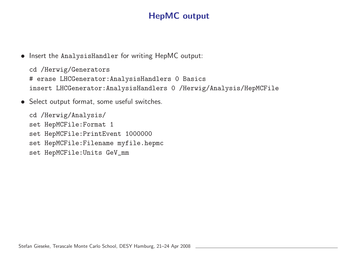# HepMC output

• Insert the AnalysisHandler for writing HepMC output:

cd /Herwig/Generators # erase LHCGenerator:AnalysisHandlers 0 Basics insert LHCGenerator:AnalysisHandlers <sup>0</sup> /Herwig/Analysis/HepMCFile

• Select output format, some useful switches.

cd /Herwig/Analysis/ set HepMCFile:Format 1 set HepMCFile:PrintEvent 1000000 set HepMCFile:Filename myfile.hepmc set HepMCFile:Units GeV\_mm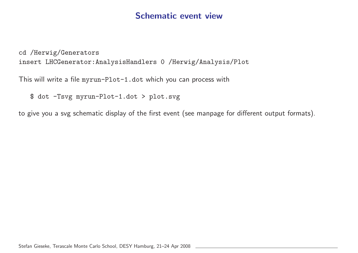### Schematic event view

cd /Herwig/Generators insert LHCGenerator:AnalysisHandlers <sup>0</sup> /Herwig/Analysis/Plot

This will write <sup>a</sup> file myrun-Plot-1.dot which you can process with

\$ dot -Tsvg myrun-Plot-1.dot <sup>&</sup>gt; plot.svg

to <sup>g</sup>ive you <sup>a</sup> svg schematic display of the first event (see manpage for different output formats).